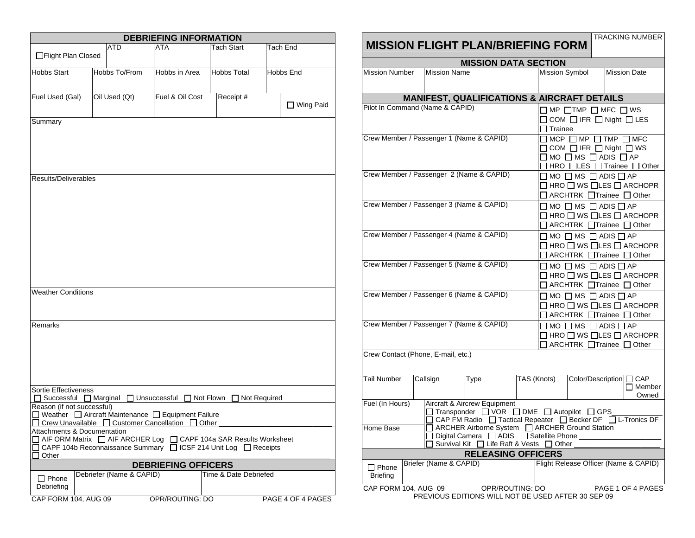| <b>DEBRIEFING INFORMATION</b>                                                                                                                                                                   |  |                          |                                         |  |                       |  |                   |
|-------------------------------------------------------------------------------------------------------------------------------------------------------------------------------------------------|--|--------------------------|-----------------------------------------|--|-----------------------|--|-------------------|
| □Flight Plan Closed                                                                                                                                                                             |  | ATD                      | ATA                                     |  | Tach Start            |  | Tach End          |
| <b>Hobbs Start</b>                                                                                                                                                                              |  | Hobbs To/From            | Hobbs in Area                           |  | <b>Hobbs Total</b>    |  | Hobbs End         |
| Fuel Used (Gal)                                                                                                                                                                                 |  | Oil Used (Qt)            | Fuel & Oil Cost                         |  | Receipt #             |  | □ Wing Paid       |
| Summary                                                                                                                                                                                         |  |                          |                                         |  |                       |  |                   |
| Results/Deliverables                                                                                                                                                                            |  |                          |                                         |  |                       |  |                   |
| <b>Weather Conditions</b>                                                                                                                                                                       |  |                          |                                         |  |                       |  |                   |
| Remarks                                                                                                                                                                                         |  |                          |                                         |  |                       |  |                   |
| Sortie Effectiveness<br>Successful □ Marginal<br>Reason (if not successful)<br>□ Weather □ Aircraft Maintenance □ Equipment Failure<br>Crew Unavailable □ Customer Cancellation □ Other         |  |                          | $\Box$ Unsuccessful<br>$\Box$ Not Flown |  | Not Required          |  |                   |
| Attachments & Documentation<br>$\Box$ AIF ORM Matrix $\Box$ AIF ARCHER Log $\Box$ CAPF 104a SAR Results Worksheet<br>□ CAPF 104b Reconnaissance Summary □ ICSF 214 Unit Log □ Receipts<br>Other |  |                          |                                         |  |                       |  |                   |
|                                                                                                                                                                                                 |  |                          | <b>DEBRIEFING OFFICERS</b>              |  |                       |  |                   |
| $\Box$ Phone<br>Debriefing                                                                                                                                                                      |  | Debriefer (Name & CAPID) |                                         |  | Time & Date Debriefed |  |                   |
| CAP FORM 104, AUG 09                                                                                                                                                                            |  |                          | OPR/ROUTING: DO                         |  |                       |  | PAGE 4 OF 4 PAGES |

|                                                                                                                                                                 |  |                                 | <b>MISSION FLIGHT PLAN/BRIEFING FORM</b>                                                                                                     |  |                                                                                                                                                                         |                                                                                            |  | TRACKING NUMBER                                            |  |
|-----------------------------------------------------------------------------------------------------------------------------------------------------------------|--|---------------------------------|----------------------------------------------------------------------------------------------------------------------------------------------|--|-------------------------------------------------------------------------------------------------------------------------------------------------------------------------|--------------------------------------------------------------------------------------------|--|------------------------------------------------------------|--|
| <b>MISSION DATA SECTION</b>                                                                                                                                     |  |                                 |                                                                                                                                              |  |                                                                                                                                                                         |                                                                                            |  |                                                            |  |
| <b>Mission Number</b>                                                                                                                                           |  | <b>Mission Name</b>             |                                                                                                                                              |  | <b>Mission Symbol</b>                                                                                                                                                   |                                                                                            |  | <b>Mission Date</b>                                        |  |
| <b>MANIFEST, QUALIFICATIONS &amp; AIRCRAFT DETAILS</b>                                                                                                          |  |                                 |                                                                                                                                              |  |                                                                                                                                                                         |                                                                                            |  |                                                            |  |
|                                                                                                                                                                 |  | Pilot In Command (Name & CAPID) |                                                                                                                                              |  | $\Box$ Trainee                                                                                                                                                          | $\Box$ MP $\Box$ TMP $\Box$ MFC $\Box$ WS<br>$\Box$ COM $\Box$ IFR $\Box$ Night $\Box$ LES |  |                                                            |  |
| Crew Member / Passenger 1 (Name & CAPID)                                                                                                                        |  |                                 |                                                                                                                                              |  | $\Box$ MCP $\Box$ MP $\Box$ TMP $\Box$ MFC<br>$\Box$ COM $\Box$ IFR $\Box$ Night $\Box$ WS<br>$\Box$ MO $\Box$ MS $\Box$ ADIS $\Box$ AP<br>□ HRO □LES □ Trainee □ Other |                                                                                            |  |                                                            |  |
|                                                                                                                                                                 |  |                                 | Crew Member / Passenger 2 (Name & CAPID)                                                                                                     |  |                                                                                                                                                                         | $\square$ MO $\square$ MS $\square$ ADIS $\square$ AP<br>□ ARCHTRK □ Trainee □ Other       |  | $\Box$ HRO $\Box$ WS $\Box$ LES $\Box$ ARCHOPR             |  |
|                                                                                                                                                                 |  |                                 | Crew Member / Passenger 3 (Name & CAPID)                                                                                                     |  |                                                                                                                                                                         | $\Box$ MO $\Box$ MS $\Box$ ADIS $\Box$ AP<br>□ ARCHTRK □ Trainee □ Other                   |  | $\Box$ HRO $\Box$ WS $\Box$ LES $\Box$ ARCHOPR             |  |
|                                                                                                                                                                 |  |                                 | Crew Member / Passenger 4 (Name & CAPID)                                                                                                     |  |                                                                                                                                                                         | $\Box$ MO $\Box$ MS $\Box$ ADIS $\Box$ AP<br>□ ARCHTRK □ Trainee □ Other                   |  | $\Box$ HRO $\Box$ WS $\Box$ LES $\Box$ ARCHOPR             |  |
| Crew Member / Passenger 5 (Name & CAPID)                                                                                                                        |  |                                 |                                                                                                                                              |  | $\square$ MO $\square$ MS $\square$ ADIS $\square$ AP<br>$\Box$ HRO $\Box$ WS $\Box$ LES $\Box$ ARCHOPR<br>$\Box$ ARCHTRK $\Box$ Trainee $\Box$ Other                   |                                                                                            |  |                                                            |  |
|                                                                                                                                                                 |  |                                 | Crew Member / Passenger 6 (Name & CAPID)                                                                                                     |  |                                                                                                                                                                         | $\square$ MO $\square$ MS $\square$ ADIS $\square$ AP<br>□ ARCHTRK □ Trainee □ Other       |  | $\square$ HRO $\square$ WS $\square$ LES $\square$ ARCHOPR |  |
| Crew Member / Passenger 7 (Name & CAPID)                                                                                                                        |  |                                 |                                                                                                                                              |  |                                                                                                                                                                         | $\Box$ MO $\Box$ MS $\Box$ ADIS $\Box$ AP<br>□ ARCHTRK □Trainee □ Other                    |  | $\Box$ HRO $\Box$ WS $\Box$ LES $\Box$ ARCHOPR             |  |
| Crew Contact (Phone, E-mail, etc.)                                                                                                                              |  |                                 |                                                                                                                                              |  |                                                                                                                                                                         |                                                                                            |  |                                                            |  |
| <b>Tail Number</b>                                                                                                                                              |  | Callsign                        | Type                                                                                                                                         |  | TAS (Knots)                                                                                                                                                             | Color/Description [                                                                        |  | CAP<br>$\Box$ Member<br>Owned                              |  |
| Fuel (In Hours)                                                                                                                                                 |  |                                 | Aircraft & Aircrew Equipment<br>□ Transponder □ VOR □ DME □ Autopilot □ GPS<br>□ CAP FM Radio □ Tactical Repeater □ Becker DF □ L-Tronics DF |  |                                                                                                                                                                         |                                                                                            |  |                                                            |  |
| □ ARCHER Airborne System □ ARCHER Ground Station<br>Home Base<br>□ Digital Camera □ ADIS □ Satellite Phone ________<br>Survival Kit □ Life Raft & Vests □ Other |  |                                 |                                                                                                                                              |  |                                                                                                                                                                         |                                                                                            |  |                                                            |  |
| <b>RELEASING OFFICERS</b>                                                                                                                                       |  |                                 |                                                                                                                                              |  |                                                                                                                                                                         |                                                                                            |  |                                                            |  |
| $\Box$ Phone<br><b>Briefing</b>                                                                                                                                 |  | Briefer (Name & CAPID)          |                                                                                                                                              |  |                                                                                                                                                                         |                                                                                            |  | Flight Release Officer (Name & CAPID)                      |  |
| CAP FORM 104, AUG 09<br>OPR/ROUTING: DO<br>PAGE 1 OF 4 PAGES<br>PREVIOUS EDITIONS WILL NOT BE USED AFTER 30 SEP 09                                              |  |                                 |                                                                                                                                              |  |                                                                                                                                                                         |                                                                                            |  |                                                            |  |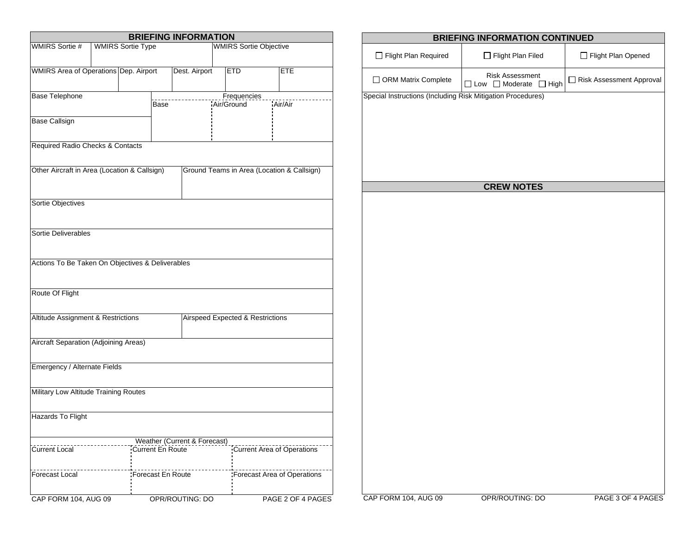| <b>BRIEFING INFORMATION</b>                       |  |  |                         |                              |                                  |                             |                   |         |                                            |  |
|---------------------------------------------------|--|--|-------------------------|------------------------------|----------------------------------|-----------------------------|-------------------|---------|--------------------------------------------|--|
| <b>WMIRS Sortie #</b><br><b>WMIRS Sortie Type</b> |  |  |                         |                              | <b>WMIRS Sortie Objective</b>    |                             |                   |         |                                            |  |
|                                                   |  |  |                         |                              |                                  |                             |                   |         |                                            |  |
| WMIRS Area of Operations Dep. Airport             |  |  |                         | Dest. Airport                |                                  | <b>ETD</b>                  |                   |         | <b>ETE</b>                                 |  |
|                                                   |  |  |                         |                              |                                  |                             |                   |         |                                            |  |
| <b>Base Telephone</b>                             |  |  |                         |                              |                                  |                             | Frequencies       |         |                                            |  |
|                                                   |  |  | Base                    |                              |                                  | Air/Ground                  |                   | Air/Air |                                            |  |
| <b>Base Callsign</b>                              |  |  |                         |                              |                                  |                             |                   |         |                                            |  |
|                                                   |  |  |                         |                              |                                  |                             |                   |         |                                            |  |
| Required Radio Checks & Contacts                  |  |  |                         |                              |                                  |                             |                   |         |                                            |  |
|                                                   |  |  |                         |                              |                                  |                             |                   |         |                                            |  |
| Other Aircraft in Area (Location & Callsign)      |  |  |                         |                              |                                  |                             |                   |         | Ground Teams in Area (Location & Callsign) |  |
|                                                   |  |  |                         |                              |                                  |                             |                   |         |                                            |  |
|                                                   |  |  |                         |                              |                                  |                             |                   |         |                                            |  |
| Sortie Objectives                                 |  |  |                         |                              |                                  |                             |                   |         |                                            |  |
|                                                   |  |  |                         |                              |                                  |                             |                   |         |                                            |  |
| Sortie Deliverables                               |  |  |                         |                              |                                  |                             |                   |         |                                            |  |
|                                                   |  |  |                         |                              |                                  |                             |                   |         |                                            |  |
| Actions To Be Taken On Objectives & Deliverables  |  |  |                         |                              |                                  |                             |                   |         |                                            |  |
|                                                   |  |  |                         |                              |                                  |                             |                   |         |                                            |  |
|                                                   |  |  |                         |                              |                                  |                             |                   |         |                                            |  |
| Route Of Flight                                   |  |  |                         |                              |                                  |                             |                   |         |                                            |  |
|                                                   |  |  |                         |                              |                                  |                             |                   |         |                                            |  |
| Altitude Assignment & Restrictions                |  |  |                         |                              | Airspeed Expected & Restrictions |                             |                   |         |                                            |  |
|                                                   |  |  |                         |                              |                                  |                             |                   |         |                                            |  |
| Aircraft Separation (Adjoining Areas)             |  |  |                         |                              |                                  |                             |                   |         |                                            |  |
|                                                   |  |  |                         |                              |                                  |                             |                   |         |                                            |  |
| Emergency / Alternate Fields                      |  |  |                         |                              |                                  |                             |                   |         |                                            |  |
|                                                   |  |  |                         |                              |                                  |                             |                   |         |                                            |  |
| Military Low Altitude Training Routes             |  |  |                         |                              |                                  |                             |                   |         |                                            |  |
|                                                   |  |  |                         |                              |                                  |                             |                   |         |                                            |  |
| Hazards To Flight                                 |  |  |                         |                              |                                  |                             |                   |         |                                            |  |
|                                                   |  |  |                         |                              |                                  |                             |                   |         |                                            |  |
|                                                   |  |  |                         | Weather (Current & Forecast) |                                  |                             |                   |         |                                            |  |
| Current Local                                     |  |  | <b>Current En Route</b> |                              |                                  |                             |                   |         | <b>Current Area of Operations</b>          |  |
|                                                   |  |  |                         |                              |                                  |                             |                   |         |                                            |  |
| Forecast Local                                    |  |  | Forecast En Route       |                              |                                  | Forecast Area of Operations |                   |         |                                            |  |
|                                                   |  |  |                         |                              |                                  |                             |                   |         |                                            |  |
| CAP FORM 104, AUG 09                              |  |  | OPR/ROUTING: DO         |                              |                                  |                             | PAGE 2 OF 4 PAGES |         |                                            |  |

| <b>BRIEFING INFORMATION CONTINUED</b>                       |                                                   |                          |  |  |  |  |  |
|-------------------------------------------------------------|---------------------------------------------------|--------------------------|--|--|--|--|--|
| Flight Plan Required                                        | Flight Plan Filed                                 | Flight Plan Opened       |  |  |  |  |  |
| $\Box$ ORM Matrix Complete                                  | <b>Risk Assessment</b><br>□ Low □ Moderate □ High | Risk Assessment Approval |  |  |  |  |  |
| Special Instructions (Including Risk Mitigation Procedures) |                                                   |                          |  |  |  |  |  |
|                                                             |                                                   |                          |  |  |  |  |  |
|                                                             |                                                   |                          |  |  |  |  |  |
|                                                             |                                                   |                          |  |  |  |  |  |
|                                                             |                                                   |                          |  |  |  |  |  |
|                                                             | <b>CREW NOTES</b>                                 |                          |  |  |  |  |  |
|                                                             |                                                   |                          |  |  |  |  |  |
|                                                             |                                                   |                          |  |  |  |  |  |
|                                                             |                                                   |                          |  |  |  |  |  |
|                                                             |                                                   |                          |  |  |  |  |  |
|                                                             |                                                   |                          |  |  |  |  |  |
|                                                             |                                                   |                          |  |  |  |  |  |
|                                                             |                                                   |                          |  |  |  |  |  |
|                                                             |                                                   |                          |  |  |  |  |  |
|                                                             |                                                   |                          |  |  |  |  |  |
|                                                             |                                                   |                          |  |  |  |  |  |
|                                                             |                                                   |                          |  |  |  |  |  |
|                                                             |                                                   |                          |  |  |  |  |  |
|                                                             |                                                   |                          |  |  |  |  |  |
|                                                             |                                                   |                          |  |  |  |  |  |
|                                                             |                                                   |                          |  |  |  |  |  |
|                                                             |                                                   |                          |  |  |  |  |  |
| CAP FORM 104, AUG 09                                        | OPR/ROUTING: DO                                   | PAGE 3 OF 4 PAGES        |  |  |  |  |  |